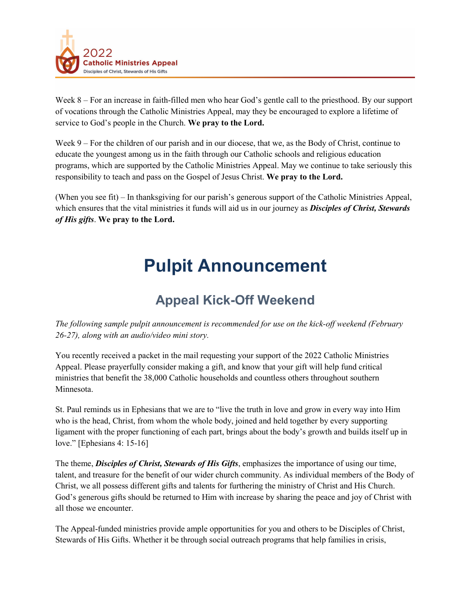

Week 8 – For an increase in faith-filled men who hear God's gentle call to the priesthood. By our support of vocations through the Catholic Ministries Appeal, may they be encouraged to explore a lifetime of service to God's people in the Church. **We pray to the Lord.** 

Week 9 – For the children of our parish and in our diocese, that we, as the Body of Christ, continue to educate the youngest among us in the faith through our Catholic schools and religious education programs, which are supported by the Catholic Ministries Appeal. May we continue to take seriously this responsibility to teach and pass on the Gospel of Jesus Christ. **We pray to the Lord.**

(When you see fit) – In thanksgiving for our parish's generous support of the Catholic Ministries Appeal, which ensures that the vital ministries it funds will aid us in our journey as *Disciples of Christ, Stewards of His gifts*. **We pray to the Lord.** 

## **Pulpit Announcement**

## **Appeal Kick-Off Weekend**

*The following sample pulpit announcement is recommended for use on the kick-off weekend (February 26-27), along with an audio/video mini story.*

You recently received a packet in the mail requesting your support of the 2022 Catholic Ministries Appeal. Please prayerfully consider making a gift, and know that your gift will help fund critical ministries that benefit the 38,000 Catholic households and countless others throughout southern Minnesota.

St. Paul reminds us in Ephesians that we are to "live the truth in love and grow in every way into Him who is the head, Christ, from whom the whole body, joined and held together by every supporting ligament with the proper functioning of each part, brings about the body's growth and builds itself up in love." [Ephesians 4: 15-16]

The theme, *Disciples of Christ, Stewards of His Gifts*, emphasizes the importance of using our time, talent, and treasure for the benefit of our wider church community. As individual members of the Body of Christ, we all possess different gifts and talents for furthering the ministry of Christ and His Church. God's generous gifts should be returned to Him with increase by sharing the peace and joy of Christ with all those we encounter.

The Appeal-funded ministries provide ample opportunities for you and others to be Disciples of Christ, Stewards of His Gifts. Whether it be through social outreach programs that help families in crisis,